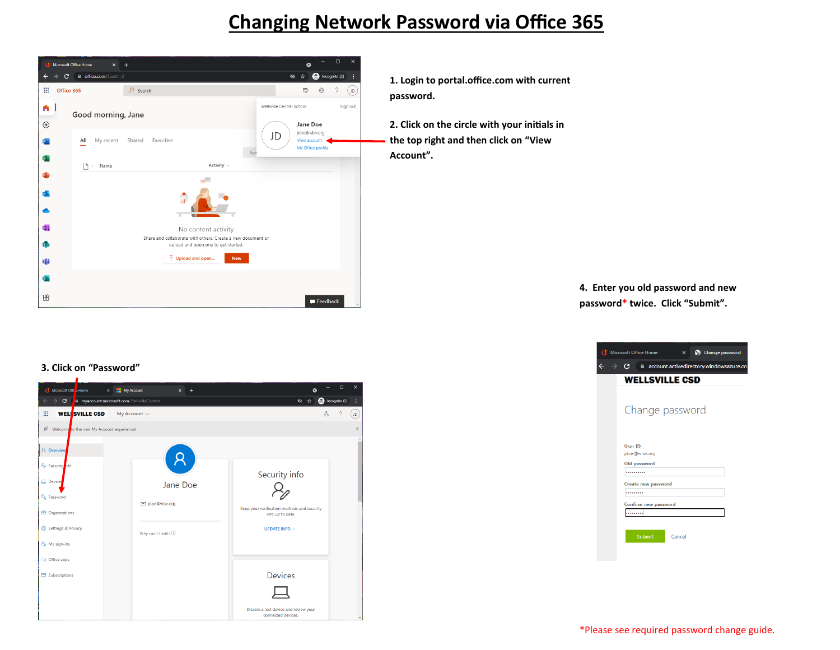## **Changing Network Password via Office 365**



**1. Login to portal.office.com with current password.**

**2. Click on the circle with your initials in the top right and then click on "View Account".**

> **4. Enter you old password and new password\* twice. Click "Submit".**



## **3. Click on "Password"**